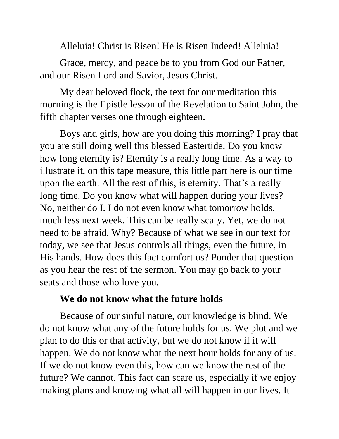Alleluia! Christ is Risen! He is Risen Indeed! Alleluia!

Grace, mercy, and peace be to you from God our Father, and our Risen Lord and Savior, Jesus Christ.

My dear beloved flock, the text for our meditation this morning is the Epistle lesson of the Revelation to Saint John, the fifth chapter verses one through eighteen.

Boys and girls, how are you doing this morning? I pray that you are still doing well this blessed Eastertide. Do you know how long eternity is? Eternity is a really long time. As a way to illustrate it, on this tape measure, this little part here is our time upon the earth. All the rest of this, is eternity. That's a really long time. Do you know what will happen during your lives? No, neither do I. I do not even know what tomorrow holds, much less next week. This can be really scary. Yet, we do not need to be afraid. Why? Because of what we see in our text for today, we see that Jesus controls all things, even the future, in His hands. How does this fact comfort us? Ponder that question as you hear the rest of the sermon. You may go back to your seats and those who love you.

## **We do not know what the future holds**

Because of our sinful nature, our knowledge is blind. We do not know what any of the future holds for us. We plot and we plan to do this or that activity, but we do not know if it will happen. We do not know what the next hour holds for any of us. If we do not know even this, how can we know the rest of the future? We cannot. This fact can scare us, especially if we enjoy making plans and knowing what all will happen in our lives. It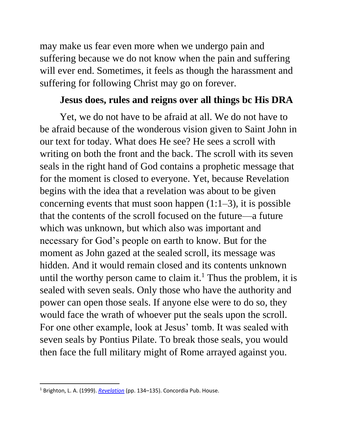may make us fear even more when we undergo pain and suffering because we do not know when the pain and suffering will ever end. Sometimes, it feels as though the harassment and suffering for following Christ may go on forever.

## **Jesus does, rules and reigns over all things bc His DRA**

Yet, we do not have to be afraid at all. We do not have to be afraid because of the wonderous vision given to Saint John in our text for today. What does He see? He sees a scroll with writing on both the front and the back. The scroll with its seven seals in the right hand of God contains a prophetic message that for the moment is closed to everyone. Yet, because Revelation begins with the idea that a revelation was about to be given concerning events that must soon happen  $(1:1-3)$ , it is possible that the contents of the scroll focused on the future—a future which was unknown, but which also was important and necessary for God's people on earth to know. But for the moment as John gazed at the sealed scroll, its message was hidden. And it would remain closed and its contents unknown until the worthy person came to claim it.<sup>1</sup> Thus the problem, it is sealed with seven seals. Only those who have the authority and power can open those seals. If anyone else were to do so, they would face the wrath of whoever put the seals upon the scroll. For one other example, look at Jesus' tomb. It was sealed with seven seals by Pontius Pilate. To break those seals, you would then face the full military might of Rome arrayed against you.

<sup>1</sup> Brighton, L. A. (1999). *[Revelation](https://ref.ly/logosres/concom87rev?ref=Page.p+134&off=1764&ctx=with+seven+seals.15%0a~The+scroll+with+its+)* (pp. 134–135). Concordia Pub. House.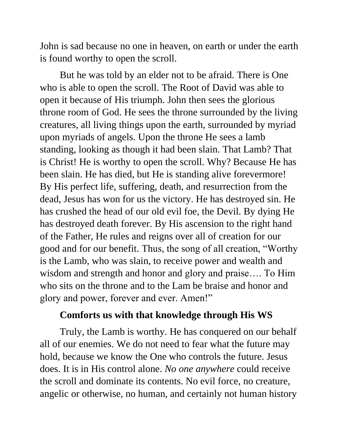John is sad because no one in heaven, on earth or under the earth is found worthy to open the scroll.

But he was told by an elder not to be afraid. There is One who is able to open the scroll. The Root of David was able to open it because of His triumph. John then sees the glorious throne room of God. He sees the throne surrounded by the living creatures, all living things upon the earth, surrounded by myriad upon myriads of angels. Upon the throne He sees a lamb standing, looking as though it had been slain. That Lamb? That is Christ! He is worthy to open the scroll. Why? Because He has been slain. He has died, but He is standing alive forevermore! By His perfect life, suffering, death, and resurrection from the dead, Jesus has won for us the victory. He has destroyed sin. He has crushed the head of our old evil foe, the Devil. By dying He has destroyed death forever. By His ascension to the right hand of the Father, He rules and reigns over all of creation for our good and for our benefit. Thus, the song of all creation, "Worthy is the Lamb, who was slain, to receive power and wealth and wisdom and strength and honor and glory and praise…. To Him who sits on the throne and to the Lam be braise and honor and glory and power, forever and ever. Amen!"

## **Comforts us with that knowledge through His WS**

Truly, the Lamb is worthy. He has conquered on our behalf all of our enemies. We do not need to fear what the future may hold, because we know the One who controls the future. Jesus does. It is in His control alone. *No one anywhere* could receive the scroll and dominate its contents. No evil force, no creature, angelic or otherwise, no human, and certainly not human history